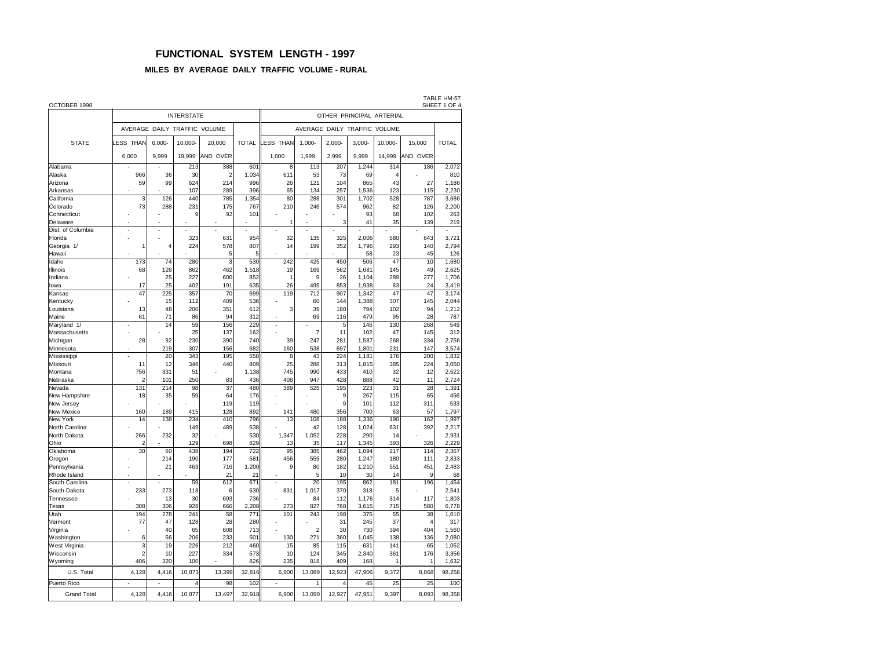## **FUNCTIONAL SYSTEM LENGTH - 1997**

### **MILES BY AVERAGE DAILY TRAFFIC VOLUME - RURAL**

| OCTOBER 1998               |                              |                 |                   |                |              |                                 |                |            |                |                      |            | TABLE HM-57<br>SHEET 1 OF 4 |  |  |  |  |
|----------------------------|------------------------------|-----------------|-------------------|----------------|--------------|---------------------------------|----------------|------------|----------------|----------------------|------------|-----------------------------|--|--|--|--|
|                            |                              |                 | <b>INTERSTATE</b> |                |              | OTHER PRINCIPAL ARTERIAL        |                |            |                |                      |            |                             |  |  |  |  |
|                            | AVERAGE DAILY TRAFFIC VOLUME |                 |                   |                |              | AVERAGE DAILY TRAFFIC<br>VOLUME |                |            |                |                      |            |                             |  |  |  |  |
| <b>STATE</b>               | ESS THAN                     | $6.000 -$       | 10.000            | 20,000         | <b>TOTAL</b> | ESS THAN                        | $1.000 -$      | $2.000 -$  | $3.000 -$      | 10,000-              | 15,000     | <b>TOTAL</b>                |  |  |  |  |
|                            | 6,000                        | 9,999           | 19,999            | AND OVER       |              | 1,000                           | 1,999          | 2.999      | 9,999          | 14,999               | AND OVER   |                             |  |  |  |  |
| Alabama                    |                              |                 | 213               | 388            | 601          | 8                               | 113            | 207        | 1,244          | 314                  | 186        | 2,072                       |  |  |  |  |
| Alaska                     | 966                          | 36<br>99        | 30                | $\overline{2}$ | 1,034        | 611<br>26                       | 53             | 73         | 69<br>865      | $\overline{A}$<br>43 | 27         | 810                         |  |  |  |  |
| Arizona<br>Arkansas        | 59                           |                 | 624<br>107        | 214<br>289     | 996<br>396   | 65                              | 121<br>134     | 104<br>257 | 1,536          | 123                  | 115        | 1,186<br>2,230              |  |  |  |  |
| California                 | 3                            | 126             | 440               | 785            | 1,354        | 80                              | 288            | 301        | 1,702          | 528                  | 787        | 3,686                       |  |  |  |  |
| Colorado                   | 73                           | 288             | 231               | 175            | 767          | 210                             | 246            | 574        | 962            | 82                   | 126        | 2,200                       |  |  |  |  |
| Connecticut                |                              |                 | 9                 | 92             | 101          |                                 |                |            | 93             | 68                   | 102        | 263                         |  |  |  |  |
| Delaware                   | ż                            |                 |                   |                |              | 1                               |                | 3          | 41             | 35                   | 139        | 219                         |  |  |  |  |
| Dist. of Columbia          | Ĭ.                           | ä,              |                   |                |              |                                 |                |            |                |                      |            |                             |  |  |  |  |
| Florida                    |                              |                 | 323               | 631            | 954          | 32                              | 135            | 325        | 2,006          | 580                  | 643        | 3,721                       |  |  |  |  |
| Georgia 1/                 | 1                            | 4               | 224               | 578            | 807          | 14                              | 199            | 352        | 1.796          | 293                  | 140        | 2,794                       |  |  |  |  |
| Hawaii                     |                              |                 |                   | 5              | 5            |                                 |                |            | 58             | 23                   | 45         | 126                         |  |  |  |  |
| Idaho                      | 173                          | 74              | 280               | 3              | 530          | 242                             | 425            | 450        | 506            | 47                   | 10         | 1,680                       |  |  |  |  |
| Illinois                   | 68                           | 126             | 862               | 462            | 1,518        | 19                              | 169            | 562        | 1,681          | 145                  | 49         | 2,625                       |  |  |  |  |
| Indiana                    |                              | 25              | 227               | 600            | 852          | 1                               | 9              | 26         | 1,104          | 289                  | 277        | 1,706                       |  |  |  |  |
| lowa                       | 17                           | 25              | 402               | 191            | 635          | 26                              | 495            | 853        | 1,938          | 83                   | 24         | 3,419                       |  |  |  |  |
| Kansas                     | 47                           | 225             | 357               | 70             | 699          | 119                             | 712            | 907        | 1,342          | 47                   | 47         | 3,174                       |  |  |  |  |
| Kentucky                   |                              | 15              | 112               | 409            | 536          |                                 | 60             | 144        | 1,388          | 307                  | 145        | 2,044                       |  |  |  |  |
| Louisiana                  | 13                           | 48              | 200               | 351            | 612          | 3                               | 39             | 180        | 794            | 102                  | 94         | 1,212                       |  |  |  |  |
| Maine                      | 61                           | 71              | 86                | 94             | 312          |                                 | 69             | 116        | 479            | 95                   | 28         | 787                         |  |  |  |  |
| Maryland 1/                | ä,                           | 14              | 59                | 156            | 229          | ä,                              |                | 5          | 146            | 130                  | 268        | 549                         |  |  |  |  |
| Massachusetts              |                              |                 | 25                | 137            | 162          |                                 | $\overline{7}$ | 11         | 102            | 47                   | 145        | 312                         |  |  |  |  |
| Michigan                   | 28                           | 92              | 230               | 390            | 740          | 39                              | 247            | 281        | 1,587          | 268                  | 334        | 2,756                       |  |  |  |  |
| Minnesota                  |                              | 219             | 307               | 156            | 682          | 160                             | 538            | 697        | 1,801          | 231                  | 147        | 3,574                       |  |  |  |  |
| Mississippi                |                              | $\overline{20}$ | 343               | 195            | 558          | 8                               | 43             | 224        | 1,181          | 176                  | 200        | 1,832                       |  |  |  |  |
| Missouri                   | 11                           | 12              | 346               | 440            | 809          | 25                              | 288            | 313        | 1,815          | 385                  | 224        | 3,050                       |  |  |  |  |
| Montana                    | 756                          | 331             | 51                |                | 1,138        | 745                             | 990            | 433        | 410            | 32                   | 12         | 2,622                       |  |  |  |  |
| Nebraska                   | $\overline{2}$               | 101             | 250               | 83             | 436          | 408                             | 947            | 428        | 888            | 42                   | 11         | 2,724                       |  |  |  |  |
| Nevada                     | 131                          | 214             | 98                | 37             | 480          | 389                             | 525            | 195        | 223            | 31                   | 28         | 1,391                       |  |  |  |  |
| New Hampshire              | 18                           | 35              | 59                | 64             | 176          |                                 |                | 9          | 267            | 115                  | 65         | 456                         |  |  |  |  |
| New Jersey                 |                              |                 |                   | 119            | 119          |                                 |                | 9          | 101            | 112                  | 311        | 533                         |  |  |  |  |
| New Mexico                 | 160                          | 189             | 415               | 128            | 892          | 141                             | 480            | 356        | 700            | 63                   | 57         | 1,797                       |  |  |  |  |
| New York<br>North Carolina | 14                           | 138             | 234<br>149        | 410            | 796<br>638   | 13                              | 108            | 188<br>128 | 1,336<br>1.024 | 190                  | 162<br>392 | 1,997                       |  |  |  |  |
|                            |                              |                 |                   | 489            |              | 1.347                           | 42             |            |                | 631                  |            | 2,217                       |  |  |  |  |
| North Dakota<br>Ohio       | 266<br>$\overline{2}$        | 232             | 32<br>129         | 698            | 530<br>829   | 13                              | 1,052<br>35    | 228<br>117 | 290<br>1,345   | 14<br>393            | 326        | 2,931<br>2,229              |  |  |  |  |
| Oklahoma                   | 30                           | 60              | 438               | 194            | 722          | 95                              | 385            | 462        | 1.094          | 217                  | 114        | 2,367                       |  |  |  |  |
| Oregon                     |                              | 214             | 190               | 177            | 581          | 456                             | 559            | 280        | 1,247          | 180                  | 111        | 2,833                       |  |  |  |  |
| Pennsylvania               |                              | 21              | 463               | 716            | 1,200        | 9                               | 80             | 182        | 1,210          | 551                  | 451        | 2,483                       |  |  |  |  |
| Rhode Island               |                              |                 |                   | 21             | 21           |                                 | 5              | 10         | 30             | 14                   | 9          | 68                          |  |  |  |  |
| South Carolina             |                              |                 | 59                | 612            | 671          |                                 | 20             | 195        | 862            | 181                  | 196        | 1,454                       |  |  |  |  |
| South Dakota               | 233                          | 273             | 118               | 6              | 630          | 831                             | 1,017          | 370        | 318            | 5                    |            | 2,541                       |  |  |  |  |
| Tennessee                  |                              | 13              | 30                | 693            | 736          |                                 | 84             | 112        | 1.176          | 314                  | 117        | 1,803                       |  |  |  |  |
| Texas                      | 308                          | 306             | 928               | 666            | 2,208        | 273                             | 827            | 768        | 3,615          | 715                  | 580        | 6,778                       |  |  |  |  |
| Utah                       | 194                          | 278             | 241               | 58             | 771          | 101                             | 243            | 198        | 375            | 55                   | 38         | 1,010                       |  |  |  |  |
| Vermont                    | 77                           | 47              | 128               | 28             | 280          |                                 |                | 31         | 245            | 37                   | 4          | 317                         |  |  |  |  |
| Virginia                   |                              | 40              | 65                | 608            | 713          |                                 | $\overline{2}$ | 30         | 730            | 394                  | 404        | 1,560                       |  |  |  |  |
| Washington                 | 6                            | 56              | 206               | 233            | 501          | 130                             | 271            | 360        | 1.045          | 138                  | 136        | 2,080                       |  |  |  |  |
| West Virginia              | 3                            | 19              | 226               | 212            | 460          | 15                              | 85             | 115        | 631            | 141                  | 65         | 1,052                       |  |  |  |  |
| Wisconsin                  | $\overline{2}$               | 10              | 227               | 334            | 573          | 10                              | 124            | 345        | 2,340          | 361                  | 176        | 3,356                       |  |  |  |  |
| Wyoming                    | 406                          | 320             | 100               |                | 826          | 235                             | 818            | 409        | 168            | $\mathbf{1}$         | 1          | 1,632                       |  |  |  |  |
| U.S. Total                 | 4,128                        | 4,416           | 10,873            | 13,399         | 32,816       | 6,900                           | 13,089         | 12,923     | 47,906         | 9,372                | 8,068      | 98,258                      |  |  |  |  |
| Puerto Rico                | ä,                           | ٠               | $\overline{4}$    | 98             | 102          | ٠                               | 1              | 4          | 45             | 25                   | 25         | 100                         |  |  |  |  |
| <b>Grand Total</b>         | 4,128                        | 4,416           | 10,877            | 13,497         | 32,918       | 6,900                           | 13,090         | 12,927     | 47,951         | 9,397                | 8,093      | 98,358                      |  |  |  |  |
|                            |                              |                 |                   |                |              |                                 |                |            |                |                      |            |                             |  |  |  |  |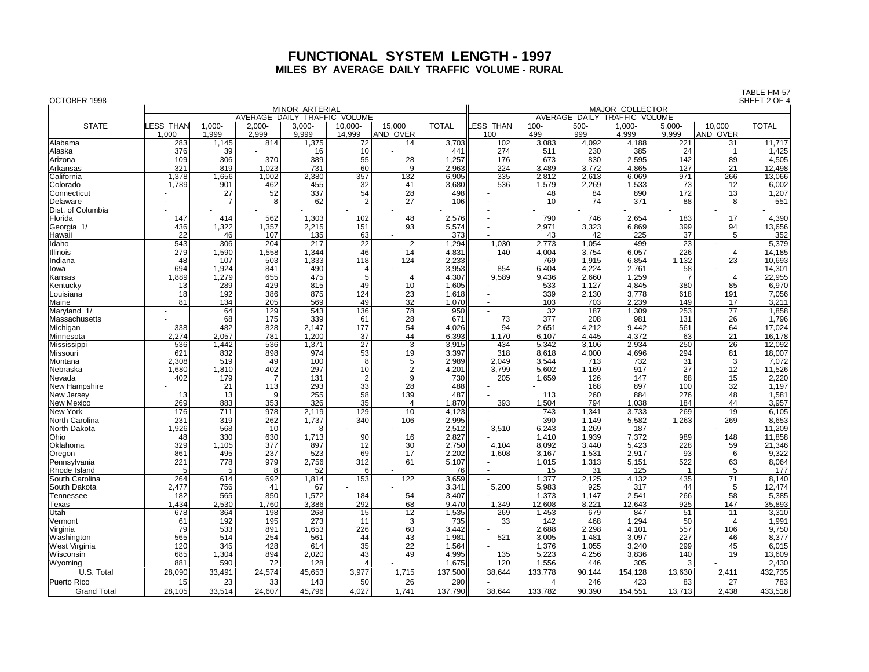# **FUNCTIONAL SYSTEM LENGTH - 1997 MILES BY AVERAGE DAILY TRAFFIC VOLUME - RURAL**

| OCTOBER 1998               |                           |                    |                 |                              |                        |                    |                              |                         |                |                |                 |                 |                    | SHEET 2 OF 4    |  |  |
|----------------------------|---------------------------|--------------------|-----------------|------------------------------|------------------------|--------------------|------------------------------|-------------------------|----------------|----------------|-----------------|-----------------|--------------------|-----------------|--|--|
|                            |                           |                    |                 | MINOR ARTERIAL               |                        |                    | <b>MAJOR COLLECTOR</b>       |                         |                |                |                 |                 |                    |                 |  |  |
|                            |                           |                    |                 | AVERAGE DAILY TRAFFIC VOLUME |                        |                    | AVERAGE DAILY TRAFFIC VOLUME |                         |                |                |                 |                 |                    |                 |  |  |
| <b>STATE</b>               | <b>LESS THAN</b><br>1.000 | $1,000 -$<br>1.999 | 2,000-<br>2.999 | $3,000 -$<br>9.999           | 10,000-<br>14.999      | 15,000<br>AND OVER | <b>TOTAL</b>                 | <b>LESS THAN</b><br>100 | $100 -$<br>499 | 500-<br>999    | 1,000-<br>4.999 | 5,000-<br>9.999 | 10.000<br>AND OVER | <b>TOTAL</b>    |  |  |
| Alabama                    | 283                       | 1,145              | 814             | 1,375                        | 72                     | 14                 | 3,703                        | 102                     | 3,083          | 4,092          | 4,188           | 221             | 31                 | 11,717          |  |  |
| Alaska                     | 376                       | 39                 |                 | 16                           | 10                     |                    | 441                          | 274                     | 511            | 230            | 385             | 24              | $\overline{1}$     | 1,425           |  |  |
| Arizona                    | 109                       | 306                | 370             | 389                          | 55                     | 28                 | 1,257                        | 176                     | 673            | 830            | 2,595           | 142             | 89                 | 4,505           |  |  |
| Arkansas                   | 321                       | 819                | 1.023           | 731                          | 60                     | $\mathbf{q}$       | 2,963                        | 224                     | 3.489          | 3.772          | 4,865           | 127             | 21                 | 12,498          |  |  |
| <b>California</b>          | 1,378                     | 1,656              | 1,002           | 2,380                        | 357                    | 132                | 6,905                        | 335                     | 2,812          | 2.613          | 6,069           | 971             | 266                | 13,066          |  |  |
| Colorado                   | 1,789                     | 901                | 462             | 455                          | 32                     | 41                 | 3,680                        | 536                     | 1,579          | 2,269          | 1,533           | 73              | 12                 | 6,002           |  |  |
| Connecticut                |                           | 27                 | 52              | 337                          | 54                     | 28                 | 498                          |                         | 48             | 84             | 890             | 172             | 13                 | 1,207           |  |  |
| Delaware                   |                           | $\overline{7}$     | 8               | 62                           | $\mathcal{P}$          | 27                 | 106                          |                         | 10             | 74             | 371             | 88              | 8                  | 551             |  |  |
| Dist. of Columbia          |                           |                    |                 |                              |                        |                    |                              | $\blacksquare$<br>÷     |                |                |                 |                 | $\sim$             |                 |  |  |
| Florida                    | 147                       | 414<br>1,322       | 562<br>1,357    | 1,303                        | 102                    | 48<br>93           | 2,576                        | ä,                      | 790<br>2,971   | 746<br>3,323   | 2,654<br>6,869  | 183<br>399      | 17<br>94           | 4,390<br>13,656 |  |  |
| Georgia 1/                 | 436<br>22                 | 46                 | 107             | 2,215<br>135                 | 151<br>63              |                    | 5,574<br>373                 |                         | 43             | 42             | 225             | 37              | 5                  | 352             |  |  |
| Hawaii<br>Idaho            | 543                       | 306                | 204             | 217                          | $\overline{22}$        | $\overline{2}$     | 1,294                        | 1,030                   | 2,773          | 1,054          | 499             | $\overline{23}$ |                    | 5,379           |  |  |
| Illinois                   | 279                       | 1,590              | 1,558           | 1.344                        | 46                     | 14                 | 4,831                        | 140                     | 4,004          | 3.754          | 6,057           | 226             | $\overline{4}$     | 14,185          |  |  |
| Indiana                    | 48                        | 107                | 503             | 1,333                        | 118                    | 124                | 2,233                        |                         | 769            | 1,915          | 6,854           | 1,132           | 23                 | 10,693          |  |  |
| lowa                       | 694                       | 1,924              | 841             | 490                          | $\overline{4}$         |                    | 3,953                        | 854                     | 6,404          | 4,224          | 2,761           | 58              |                    | 14,301          |  |  |
| Kansas                     | 1,889                     | 1,279              | 655             | 475                          | $\overline{5}$         | $\overline{4}$     | 4,307                        | 9,589                   | 9,436          | 2,660          | 1,259           | $\overline{7}$  | $\overline{4}$     | 22,955          |  |  |
| Kentucky                   | 13                        | 289                | 429             | 815                          | 49                     | 10                 | 1,605                        |                         | 533            | 1,127          | 4,845           | 380             | 85                 | 6,970           |  |  |
| Louisiana                  | 18                        | 192                | 386             | 875                          | 124                    | 23                 | 1,618                        | ÷.                      | 339            | 2,130          | 3,778           | 618             | 191                | 7,056           |  |  |
| Maine                      | 81                        | 134                | 205             | 569                          | 49                     | 32                 | 1,070                        | $\overline{a}$          | 103            | 703            | 2,239           | 149             | 17                 | 3,211           |  |  |
| Maryland 1/                |                           | 64                 | 129             | 543                          | 136                    | 78                 | 950                          | $\blacksquare$          | 32             | 187            | 1,309           | 253             | 77                 | 1,858           |  |  |
| Massachusetts              |                           | 68                 | 175             | 339                          | 61                     | 28                 | 671                          | 73                      | 377            | 208            | 981             | 131             | 26                 | 1,796           |  |  |
| Michigan                   | 338                       | 482                | 828             | 2.147                        | 177                    | 54                 | 4,026                        | 94                      | 2,651          | 4.212          | 9.442           | 561             | 64                 | 17,024          |  |  |
| Minnesota                  | 2,274                     | 2.057              | 781             | 1.200                        | 37                     | 44                 | 6,393                        | 1.170                   | 6.107          | 4.445          | 4,372           | 63              | 21                 | 16,178          |  |  |
| Mississippi                | 536                       | 1,442              | 536             | 1,371                        | 27                     | $\overline{3}$     | 3,915                        | 434                     | 5,342          | 3,106          | 2,934           | 250             | 26                 | 12,092          |  |  |
| Missouri                   | 621                       | 832                | 898             | 974                          | 53                     | 19                 | 3,397                        | 318                     | 8,618          | 4,000          | 4,696           | 294             | 81                 | 18,007          |  |  |
| Montana                    | 2,308                     | 519                | 49              | 100                          | 8                      | 5                  | 2,989                        | 2.049                   | 3,544          | 713            | 732             | 31              | 3                  | 7,072           |  |  |
| Nebraska                   | 1,680                     | 1,810              | 402             | 297                          | 10                     | $\overline{2}$     | 4,201                        | 3,799                   | 5,602          | 1,169          | 917             | 27              | 12                 | 11,526          |  |  |
| Nevada                     | 402                       | 179                | 7               | 131                          | $\overline{2}$         | $\overline{9}$     | 730                          | 205                     | 1,659          | 126            | 147             | 68              | $\overline{15}$    | 2,220           |  |  |
| New Hampshire              |                           | 21                 | 113             | 293                          | 33                     | 28                 | 488                          |                         |                | 168            | 897             | 100             | 32                 | 1,197           |  |  |
| New Jersey                 | 13                        | 13                 | 9               | 255                          | 58                     | 139                | 487                          |                         | 113            | 260            | 884             | 276             | 48                 | 1,581           |  |  |
| New Mexico                 | 269                       | 883                | 353             | 326                          | 35                     | $\overline{4}$     | 1,870                        | 393<br>$\blacksquare$   | 1,504          | 794            | 1,038           | 184             | 44                 | 3,957           |  |  |
| New York<br>North Carolina | 176                       | 711<br>319         | 978             | 2,119                        | 129                    | 10                 | 4,123<br>2,995               |                         | 743            | 1,341<br>1.149 | 3,733<br>5,582  | 269<br>1,263    | 19<br>269          | 6,105<br>8,653  |  |  |
| North Dakota               | 231<br>1,926              | 568                | 262<br>10       | 1,737<br>8                   | 340                    | 106                | 2,512                        | 3,510                   | 390<br>6,243   | 1,269          | 187             |                 |                    | 11,209          |  |  |
| Ohio                       | 48                        | 330                | 630             | 1,713                        | 90                     | 16                 | 2,827                        |                         | 1,410          | 1,939          | 7,372           | 989             | 148                | 11,858          |  |  |
| Oklahoma                   | 329                       | 1,105              | 377             | 897                          | 12                     | 30                 | 2,750                        | 4,104                   | 8,092          | 3,440          | 5,423           | 228             | 59                 | 21,346          |  |  |
| Oregon                     | 861                       | 495                | 237             | 523                          | 69                     | 17                 | 2,202                        | 1,608                   | 3,167          | 1,531          | 2,917           | 93              | 6                  | 9,322           |  |  |
| Pennsylvania               | 221                       | 778                | 979             | 2,756                        | 312                    | 61                 | 5,107                        |                         | 1,015          | 1,313          | 5,151           | 522             | 63                 | 8,064           |  |  |
| Rhode Island               | 5                         | 5                  | 8               | 52                           | 6                      |                    | 76                           | $\blacksquare$          | 15             | 31             | 125             | $\overline{1}$  | 5                  | 177             |  |  |
| South Carolina             | 264                       | 614                | 692             | 1,814                        | 153                    | 122                | 3,659                        |                         | 1,377          | 2,125          | 4,132           | 435             | 71                 | 8,140           |  |  |
| South Dakota               | 2,477                     | 756                | 41              | 67                           |                        |                    | 3,341                        | 5,200                   | 5,983          | 925            | 317             | 44              | 5                  | 12,474          |  |  |
| Tennessee                  | 182                       | 565                | 850             | 1,572                        | 184                    | 54                 | 3,407                        |                         | 1,373          | 1.147          | 2,541           | 266             | 58                 | 5,385           |  |  |
| Texas                      | 1.434                     | 2.530              | 1.760           | 3.386                        | 292                    | 68                 | 9,470                        | 1.349                   | 12,608         | 8.221          | 12,643          | 925             | 147                | 35,893          |  |  |
| Utah                       | 678                       | 364                | 198             | 268                          | 15                     | $\overline{12}$    | 1,535                        | 269                     | 1,453          | 679            | 847             | 51              | 11                 | 3,310           |  |  |
| Vermont                    | 61                        | 192                | 195             | 273                          | 11                     | 3                  | 735                          | 33                      | 142            | 468            | 1,294           | 50              | $\overline{4}$     | 1,991           |  |  |
| Virginia                   | 79                        | 533                | 891             | 1,653                        | 226                    | 60                 | 3,442                        |                         | 2,688          | 2,298          | 4,101           | 557             | 106                | 9,750           |  |  |
| Washington                 | 565                       | 514                | 254             | 561                          | 44                     | 43                 | 1,981                        | 521                     | 3,005          | 1,481          | 3,097           | 227             | 46                 | 8,377           |  |  |
| West Virginia              | 120                       | 345                | 428             | 614                          | $\overline{35}$        | $\overline{22}$    | 1,564                        |                         | 1,376          | 1,055          | 3,240           | 299             | 45                 | 6,015           |  |  |
| Wisconsin                  | 685                       | 1,304              | 894             | 2,020                        | 43                     | 49                 | 4,995                        | 135                     | 5,223          | 4,256          | 3,836           | 140             | 19                 | 13,609          |  |  |
| <b>Wyoming</b>             | 881                       | 590                | 72              | 128                          | $\boldsymbol{\Lambda}$ |                    | 1,675                        | 120                     | 1,556          | 446            | 305             | 3               |                    | 2,430           |  |  |
| U.S. Total                 | 28,090                    | 33,491             | 24,574          | 45,653                       | 3,977                  | 1,715              | 137,500                      | 38,644                  | 133,778        | 90,144         | 154,128         | 13,630          | 2,411              | 432,735         |  |  |
| Puerto Rico                | 15                        | 23                 | 33              | 143                          | 50                     | 26                 | 290                          |                         | 4              | 246            | 423             | 83              | 27                 | 783             |  |  |
| <b>Grand Total</b>         | 28.105                    | 33.514             | 24,607          | 45,796                       | 4,027                  | 1.741              | 137,790                      | 38.644                  | 133.782        | 90.390         | 154,551         | 13,713          | 2.438              | 433,518         |  |  |

TABLE HM-57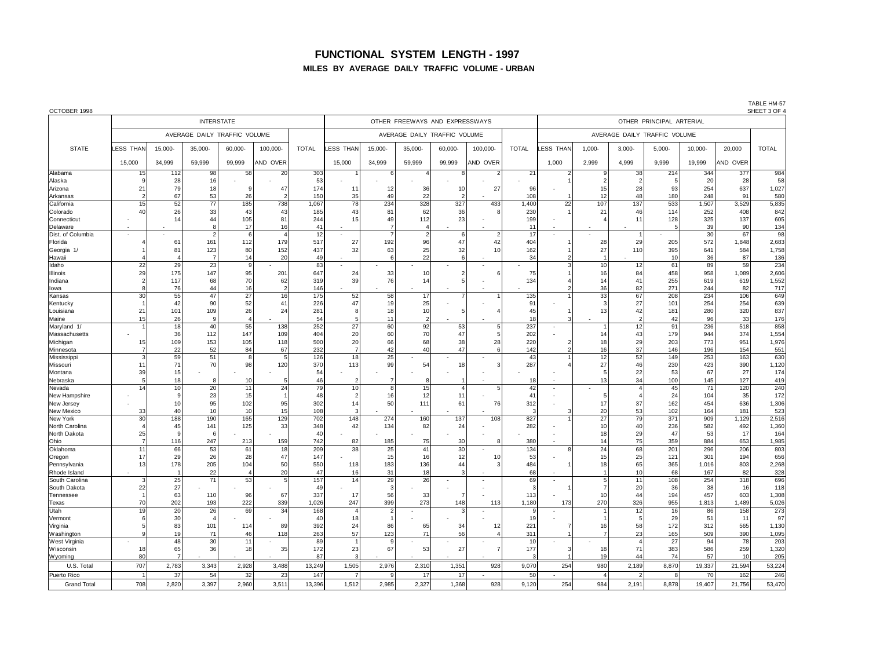# **FUNCTIONAL SYSTEM LENGTH - 1997**

#### **MILES BY AVERAGE DAILY TRAFFIC VOLUME - URBAN**

| OCTOBER 1998 |  |
|--------------|--|
|              |  |

TABLE HM-57<br>SHEET 3 OF 4

| OCTOBER 1998                       |                |                       |                              |                |                      |              |                      |              |                                |                |          |              |                          |                 |                      |                              |              |            | SHEET 3 OF 4   |
|------------------------------------|----------------|-----------------------|------------------------------|----------------|----------------------|--------------|----------------------|--------------|--------------------------------|----------------|----------|--------------|--------------------------|-----------------|----------------------|------------------------------|--------------|------------|----------------|
|                                    |                |                       | <b>INTERSTATE</b>            |                |                      |              |                      |              | OTHER FREEWAYS AND EXPRESSWAYS |                |          |              | OTHER PRINCIPAL ARTERIAL |                 |                      |                              |              |            |                |
|                                    |                |                       | AVERAGE DAILY TRAFFIC VOLUME |                |                      |              |                      |              | AVERAGE DAILY TRAFFIC VOLUME   |                |          |              |                          |                 |                      | AVERAGE DAILY TRAFFIC VOLUME |              |            |                |
| <b>STATE</b>                       | LESS THAN      | 15,000                | 35,000-                      | 60,000-        | 100,000-             | <b>TOTAL</b> | ESS THAN             | 15,000-      | 35,000-                        | 60,000-        | 100,000- | <b>TOTAL</b> | <b>ESS THAN</b>          | $1,000 -$       | $3,000 -$            | 5,000-                       | 10,000-      | 20,000     | <b>TOTAL</b>   |
|                                    | 15,000         | 34,999                | 59.999                       | 99,999         | AND OVER             |              | 15,000               | 34,999       | 59,999                         | 99,999         | AND OVER |              | 1,000                    | 2,999           | 4.999                | 9.999                        | 19,999       | AND OVER   |                |
| Alabama                            | 15             | 112                   | 98                           | 58             | 20                   | 303          |                      | 6            | $\mathbf{A}$                   | $\mathsf{R}$   | 2        | 21           |                          | 9               | 38                   | 214                          | 344          | 377        | 984            |
| Alaska                             |                | 28                    | 16                           | $\mathbf{q}$   |                      | 53           |                      |              |                                |                |          |              |                          | $\mathcal{P}$   | $\overline{2}$       | -5                           | 20           | 28         | 58             |
| Arizona<br>Arkansas                | 21             | 79 l<br>67            | 18<br>53                     | 26             | 47<br>$\mathfrak{p}$ | 174<br>150   | 11<br>35             | 12<br>49     | 36<br>22                       | 10             | 27       | 96<br>108    |                          | 15<br>12        | 28<br>48             | 93<br>180                    | 254<br>248   | 637<br>91  | 1,027<br>580   |
| California                         | 15             | 52                    | 77                           | 185            | 738                  | 1,067        | 78                   | 234          | 328                            | 327            | 433      | 1,400        | 22                       | 107             | 137                  | 533                          | 1,507        | 3,529      | 5,835          |
| Colorado                           | 40             | 26                    | 33                           | 43             | 43                   | 185          | 43                   | 81           | 62                             | 36             | 8        | 230          |                          | 21              | 46                   | 114                          | 252          | 408        | 842            |
| <b>Connecticut</b>                 |                | 14                    | 44                           | 105            | 81                   | 244          | 15                   | 49           | 112                            | 23             |          | 199          |                          |                 | 11                   | 128                          | 325          | 137        | 605            |
| Delaware                           |                |                       | 8                            | 17             | 16                   | 41           |                      |              | $\overline{4}$                 |                |          | 11           |                          |                 |                      |                              | 39           | 90         | 134            |
| Dist. of Columbia                  | ٠              |                       | $\overline{2}$               | - 6            | $\overline{4}$       | 12           |                      |              | $\vert$ 2                      | 6              | 2        | 17           |                          |                 | -1                   |                              | 30           | 67         | 98             |
| Florida                            |                | 61                    | 161                          | 112            | 179                  | 517          | 27                   | 192          | 96                             | 47             | 42       | 404          |                          | 28              | 29                   | 205                          | 572          | 1,848      | 2,683          |
| Georgia                            |                | 81                    | 123                          | 80             | 152                  | 437          | 32                   | 63           | 25                             | 32             | 10       | 162          |                          | 27              | 110                  | 395                          | 641          | 584        | 1,758          |
| Hawaii<br>Idaho                    | 22             | 29                    | $\overline{7}$<br>23         | 14<br>-9       | 20                   | 49<br>83     |                      |              | 22                             | 6              |          | 34           | 3                        | 10              | 12                   | 10<br>61                     | 36<br>89     | 87<br>59   | 136<br>234     |
| Illinois                           | 29             | 175                   | 147                          | 95             | 201                  | 647          | 24                   | 33           | 10 <sup>1</sup>                | $\overline{2}$ | 6        | 75           |                          | 16              | 84                   | 458                          | 958          | 1,089      | 2,606          |
| Indiana                            |                | 117                   | 68                           | 70             | 62                   | 319          | 39                   | 76           | 14                             | 5              |          | 134          |                          | 14              | 41                   | 255                          | 619          | 619        | 1,552          |
| lowa                               |                | 76                    | 44                           | 16             | $\overline{2}$       | 146          |                      |              |                                |                |          |              |                          | 36              | 82                   | 271                          | 244          | 82         | 717            |
| Kansas                             | 30             | 55                    | 47                           | 27             | 16                   | 175          | 52                   | 58           | 17                             |                |          | 135          |                          | 33              | 67                   | 208                          | 234          | 106        | 649            |
| Kentucky                           |                | 42                    | 90                           | 52             | 41                   | 226          | 47                   | 19           | 25                             |                |          | 91           |                          | 3               | 27                   | 101                          | 254          | 254        | 639            |
| Louisiana                          | 21             | 101                   | 109                          | 26             | 24                   | 281          | 8                    | 18           | 10 <sup>1</sup>                |                |          | 45           |                          | 13              | 42                   | 181                          | 280          | 320        | 837            |
| Maine                              | 15             | 26                    | 9                            | $\overline{4}$ |                      | 54           |                      | 11           | $\overline{2}$                 |                |          | 18           |                          |                 | $\overline{2}$       | 42                           | 96           | 33         | 176            |
| Maryland 1/                        |                | 18                    | 40<br>112                    | 55<br>147      | 138<br>109           | 252          | 27<br>20             | 60<br>60     | 92<br>70                       | 53<br>47       | 5        | 237<br>202   |                          | 1<br>14         | 12<br>43             | 91<br>179                    | 236<br>944   | 518<br>374 | 858            |
| Massachusetts<br>Michigan          | 15             | 36<br>109             | 153                          | 105            | 118                  | 404<br>500   | 20                   | 66           | 68                             | 38             | 5<br>28  | 220          |                          | 18              | 29                   | 203                          | 773          | 951        | 1,554<br>1,976 |
| Minnesota                          |                | 22                    | 52                           | 84             | 67                   | 232          |                      | 42           | 40                             | 47             |          | 142          |                          | 16              | 37                   | 146                          | 196          | 154        | 551            |
| Mississipp                         | 3              | 59                    | 51                           | - 8            | 5                    | 126          | 18                   | 25           |                                |                |          | 43           |                          | 12              | 52                   | 149                          | 253          | 163        | 630            |
| Missouri                           | 11             | 71                    | 70                           | 98             | 120                  | 370          | 113                  | 99           | 54                             | 18             | з        | 287          |                          | 27              | 46                   | 230                          | 423          | 390        | 1,120          |
| Montana                            | 39             | 15                    |                              |                |                      | 54           |                      |              |                                |                |          |              |                          | 5               | 22                   | 53                           | 67           | 27         | 174            |
| Nebraska                           | 5              | 18                    |                              | 10             | 5                    | 46           | $\overline{2}$       | 7            | 8                              |                |          | 18           |                          | 13              | 34                   | 100                          | 145          | 127        | 419            |
| Nevada                             | 14             | 10                    | 20                           | 11             | 24                   | 79           | 10                   | 8            | 15                             | $\overline{a}$ | 5        | 42           |                          |                 | $\overline{4}$       | 45                           | 71           | 120        | 240            |
| New Hampshire                      |                | 9<br>10 <sup>1</sup>  | 23<br>95                     | 15<br>102      | $\overline{1}$<br>95 | 48<br>302    | 2<br>14              | 16<br>50     | 12<br>111                      | 11<br>61       | 76       | 41<br>312    |                          | 5<br>17         | $\overline{4}$<br>37 | 24<br>162                    | 104<br>454   | 35<br>636  | 172            |
| New Jersey<br><b>New Mexico</b>    | 33             | 40                    | 10                           | 10             | 15                   | 108          |                      |              |                                |                |          |              |                          | 20              | 53                   | 102                          | 164          | 181        | 1,306<br>523   |
| New York                           | 30             | 188                   | 190                          | 165            | 129                  | 702          | 148                  | 274          | 160                            | 137            | 108      | 827          |                          | 27              | 79                   | 371                          | 909          | 1,129      | 2,516          |
| North Carolina                     |                | 45                    | 141                          | 125            | 33                   | 348          | 42                   | 134          | 82                             | 24             |          | 282          |                          | 10              | 40                   | 236                          | 582          | 492        | 1,360          |
| North Dakota                       | 25             | $\mathsf{Q}$          | -6                           |                |                      | 40           |                      |              |                                |                |          |              |                          | 18              | 29                   | 47                           | 53           | 17         | 164            |
| <b>Ohio</b>                        | $\overline{7}$ | 116                   | 247                          | 213            | 159                  | 742          | 82                   | 185          | 75                             | 30             | я        | 380          |                          | 14              | 75                   | 359                          | 884          | 653        | 1,985          |
| Oklahoma                           | 11             | 66                    | 53                           | 61             | 18                   | 209          | 38                   | 25           | 41                             | 30             |          | 134          | 8                        | $\overline{24}$ | 68                   | 201                          | 296          | 206        | 803            |
| Oregon                             | 17             | 29                    | 26                           | 28             | 47                   | 147          |                      | 15           | 16                             | 12             | 10       | 53           |                          | 15              | 25                   | 121                          | 301          | 194        | 656            |
| Pennsylvania<br>Rhode Island       | 13             | 178<br>$\overline{1}$ | 205<br>22                    | 104            | 50<br>20             | 550<br>47    | 118<br>16            | 183<br>31    | 136<br>18                      | 44<br>3        |          | 484<br>68    |                          | 18              | 65<br>10             | 365<br>68                    | 1,016<br>167 | 803<br>82  | 2,268<br>328   |
| South Carolina                     | з              | 25                    | 71                           | 53             | $\overline{5}$       | 157          | 14                   | 29           | 26                             |                |          | 69           |                          | 5 <sub>1</sub>  | 11                   | 108                          | 254          | 318        | 696            |
| South Dakota                       | 22             | 27                    |                              |                |                      | 49           |                      | 3            |                                |                |          |              |                          | $\overline{7}$  | 20                   | 36                           | 38           | 16         | 118            |
| Tennessee                          |                | 63                    | 110                          | 96             | 67                   | 337          | 17                   | 56           | 33                             |                |          | 113          |                          | 10              | 44                   | 194                          | 457          | 603        | 1,308          |
| Texas                              | 70             | 202                   | 193                          | 222            | 339                  | 1,026        | 247                  | 399          | 273                            | 148            | 113      | 1,180        | 173                      | 270             | 326                  | 955                          | 1,813        | 1,489      | 5,026          |
| Utah                               | 19             | 20                    | 26                           | 69             | 34                   | 168          | $\overline{4}$       |              |                                |                |          |              |                          |                 | 12                   | 16                           | 86           | 158        | 273            |
| Vermont                            |                | 30                    |                              |                |                      | 40           | 18                   |              |                                |                |          | 19           |                          |                 | 5                    | 29                           | 51           | 11         | 97             |
| Virginia                           |                | 83                    | 101                          | 114            | 89                   | 392          | 24                   | 86           | 65                             | 34             | 12       | 221          |                          | 16              | 58                   | 172                          | 312          | 565        | 1,130          |
| Washington<br><b>West Virginia</b> |                | 19<br>48              | 71<br>30                     | 46<br>11       | 118                  | 263<br>89    | 57<br>$\overline{1}$ | 123<br>9     | 71                             | 56             |          | 311<br>10    |                          | $\overline{7}$  | 23<br>$\overline{4}$ | 165<br>27                    | 509<br>94    | 390<br>78  | 1,095<br>203   |
| Wisconsin                          | 18             | 65                    | 36                           | 18             | 35                   | 172          | 23                   | 67           | 53                             | 27             |          | 177          |                          | 18              | 71                   | 383                          | 586          | 259        | 1,320          |
| Wyoming                            | 80             | $\overline{7}$        |                              |                |                      | 87           |                      |              |                                |                |          |              |                          | 19              | 44                   | 74                           | 57           | 10         | 205            |
| U.S. Total                         | 707            | 2,783                 | 3,343                        | 2,928          | 3,488                | 13,249       | 1,505                | 2,976        | 2,310                          | 1,351          | 928      | 9,070        | 254                      | 980             | 2,189                | 8,870                        | 19,337       | 21,594     | 53,224         |
| Puerto Rico                        |                | 37                    | 54                           | 32             | 23                   | 147          | $\overline{7}$       | $\mathbf{Q}$ | 17                             | 17             |          | 50           |                          | $\overline{A}$  | $\overline{2}$       | $\mathbf{R}$                 | 70           | 162        | 246            |
| <b>Grand Total</b>                 | 708            | 2,820                 | 3,397                        | 2,960          | 3,511                | 13,396       | 1,512                | 2,985        | 2,327                          | 1,368          | 928      | 9,120        | 254                      | 984             | 2,191                | 8,878                        | 19,407       | 21,756     | 53,470         |